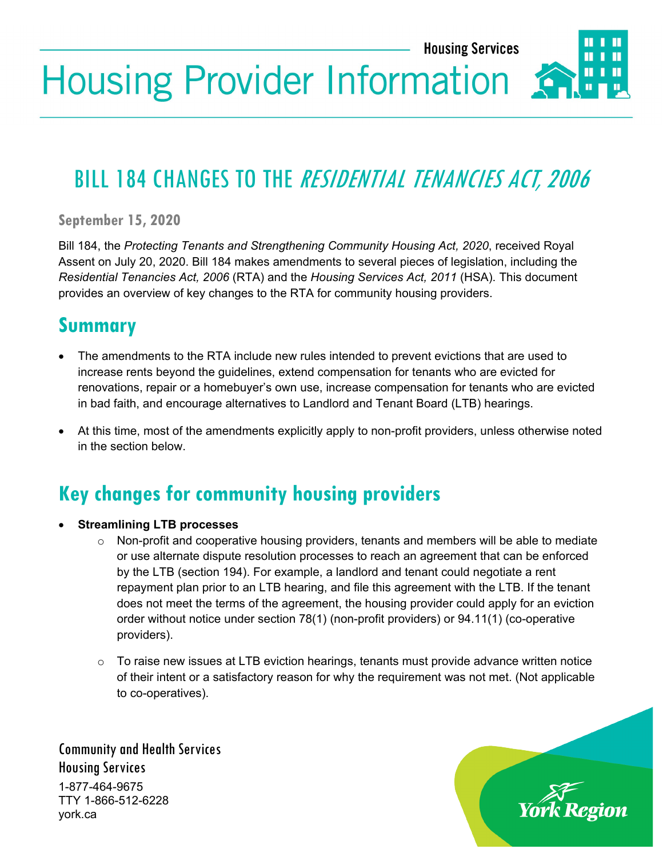**Housing Services** 

# **Housing Provider Information**

## BILL 184 CHANGES TO THE RESIDENTIAL TENANCIES ACT, 2006

**September 15, 2020**

Bill 184, the *Protecting Tenants and Strengthening Community Housing Act, 2020*, received Royal Assent on July 20, 2020. Bill 184 makes amendments to several pieces of legislation, including the *Residential Tenancies Act, 2006* (RTA) and the *Housing Services Act, 2011* (HSA). This document provides an overview of key changes to the RTA for community housing providers.

#### **Summary**

- The amendments to the RTA include new rules intended to prevent evictions that are used to increase rents beyond the guidelines, extend compensation for tenants who are evicted for renovations, repair or a homebuyer's own use, increase compensation for tenants who are evicted in bad faith, and encourage alternatives to Landlord and Tenant Board (LTB) hearings.
- At this time, most of the amendments explicitly apply to non-profit providers, unless otherwise noted in the section below.

#### **Key changes for community housing providers**

- **Streamlining LTB processes**
	- o Non-profit and cooperative housing providers, tenants and members will be able to mediate or use alternate dispute resolution processes to reach an agreement that can be enforced by the LTB (section 194). For example, a landlord and tenant could negotiate a rent repayment plan prior to an LTB hearing, and file this agreement with the LTB. If the tenant does not meet the terms of the agreement, the housing provider could apply for an eviction order without notice under section 78(1) (non-profit providers) or 94.11(1) (co-operative providers).
	- $\circ$  To raise new issues at LTB eviction hearings, tenants must provide advance written notice of their intent or a satisfactory reason for why the requirement was not met. (Not applicable to co-operatives).

Community and Health Services Housing Services 1-877-464-9675 TTY 1-866-512-6228 york.ca

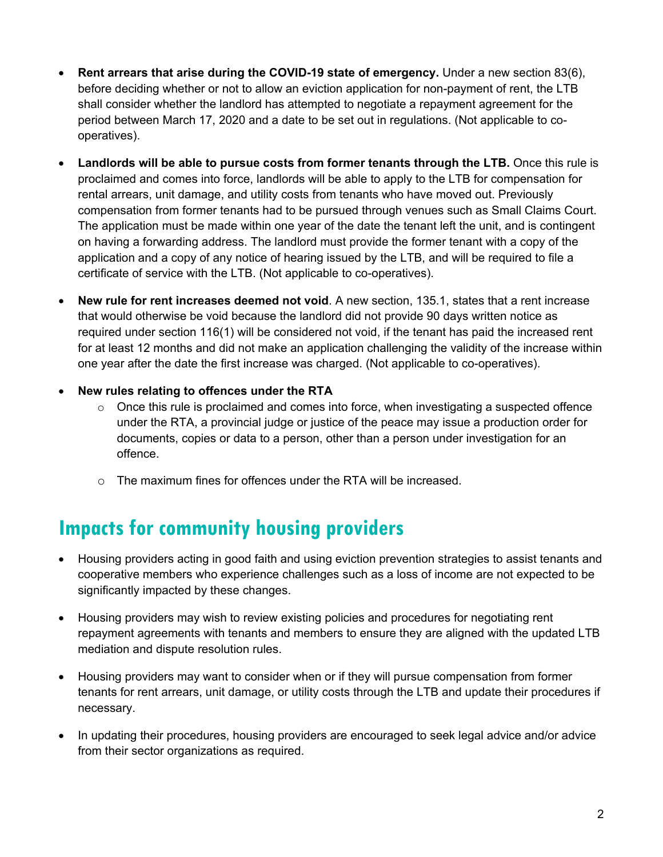- **Rent arrears that arise during the COVID-19 state of emergency.** Under a new section 83(6), before deciding whether or not to allow an eviction application for non-payment of rent, the LTB shall consider whether the landlord has attempted to negotiate a repayment agreement for the period between March 17, 2020 and a date to be set out in regulations. (Not applicable to cooperatives).
- **Landlords will be able to pursue costs from former tenants through the LTB.** Once this rule is proclaimed and comes into force, landlords will be able to apply to the LTB for compensation for rental arrears, unit damage, and utility costs from tenants who have moved out. Previously compensation from former tenants had to be pursued through venues such as Small Claims Court. The application must be made within one year of the date the tenant left the unit, and is contingent on having a forwarding address. The landlord must provide the former tenant with a copy of the application and a copy of any notice of hearing issued by the LTB, and will be required to file a certificate of service with the LTB. (Not applicable to co-operatives).
- **New rule for rent increases deemed not void**. A new section, 135.1, states that a rent increase that would otherwise be void because the landlord did not provide 90 days written notice as required under section 116(1) will be considered not void, if the tenant has paid the increased rent for at least 12 months and did not make an application challenging the validity of the increase within one year after the date the first increase was charged. (Not applicable to co-operatives).
- **New rules relating to offences under the RTA**
	- $\circ$  Once this rule is proclaimed and comes into force, when investigating a suspected offence under the RTA, a provincial judge or justice of the peace may issue a production order for documents, copies or data to a person, other than a person under investigation for an offence.
	- $\circ$  The maximum fines for offences under the RTA will be increased.

#### **Impacts for community housing providers**

- Housing providers acting in good faith and using eviction prevention strategies to assist tenants and cooperative members who experience challenges such as a loss of income are not expected to be significantly impacted by these changes.
- Housing providers may wish to review existing policies and procedures for negotiating rent repayment agreements with tenants and members to ensure they are aligned with the updated LTB mediation and dispute resolution rules.
- Housing providers may want to consider when or if they will pursue compensation from former tenants for rent arrears, unit damage, or utility costs through the LTB and update their procedures if necessary.
- In updating their procedures, housing providers are encouraged to seek legal advice and/or advice from their sector organizations as required.